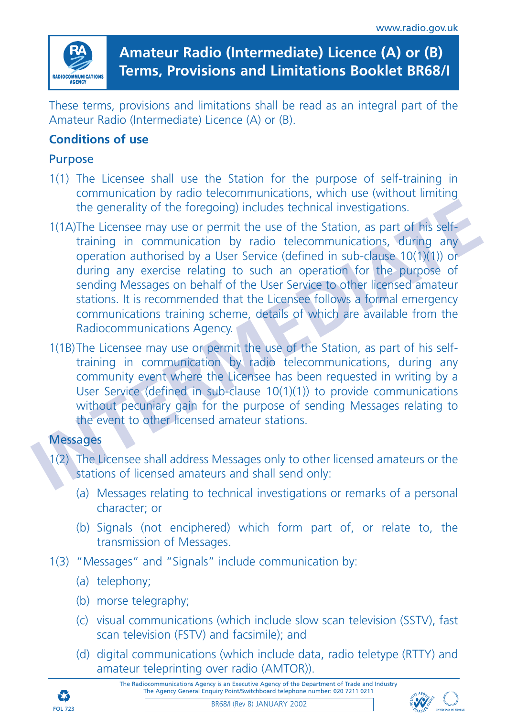

**Amateur Radio (Intermediate) Licence (A) or (B) Terms, Provisions and Limitations Booklet BR68/I**

These terms, provisions and limitations shall be read as an integral part of the Amateur Radio (Intermediate) Licence (A) or (B).

# **Conditions of use**

#### Purpose

- 1(1) The Licensee shall use the Station for the purpose of self-training in communication by radio telecommunications, which use (without limiting the generality of the foregoing) includes technical investigations.
- the generality of the foregoing) includes technical investigations.<br> **IMMA** Licensee may use or permit the use of the Station, as part of his self-<br>
training in communication by radio telecommunications, during any<br>
operat 1(1A)The Licensee may use or permit the use of the Station, as part of his selftraining in communication by radio telecommunications, during any operation authorised by a User Service (defined in sub-clause 10(1)(1)) or during any exercise relating to such an operation for the purpose of sending Messages on behalf of the User Service to other licensed amateur stations. It is recommended that the Licensee follows a formal emergency communications training scheme, details of which are available from the Radiocommunications Agency.
	- 1(1B)The Licensee may use or permit the use of the Station, as part of his selftraining in communication by radio telecommunications, during any community event where the Licensee has been requested in writing by a User Service (defined in sub-clause 10(1)(1)) to provide communications without pecuniary gain for the purpose of sending Messages relating to the event to other licensed amateur stations.

#### **Messages**

- 1(2) The Licensee shall address Messages only to other licensed amateurs or the stations of licensed amateurs and shall send only:
	- (a) Messages relating to technical investigations or remarks of a personal character; or
	- (b) Signals (not enciphered) which form part of, or relate to, the transmission of Messages.
- 1(3) "Messages" and "Signals" include communication by:
	- (a) telephony;
	- (b) morse telegraphy;
	- (c) visual communications (which include slow scan television (SSTV), fast scan television (FSTV) and facsimile); and
	- (d) digital communications (which include data, radio teletype (RTTY) and amateur teleprinting over radio (AMTOR)).

The Radiocommunications Agency is an Executive Agency of the Department of Trade and Industry The Agency General Enquiry Point/Switchboard telephone number: 020 7211 0211





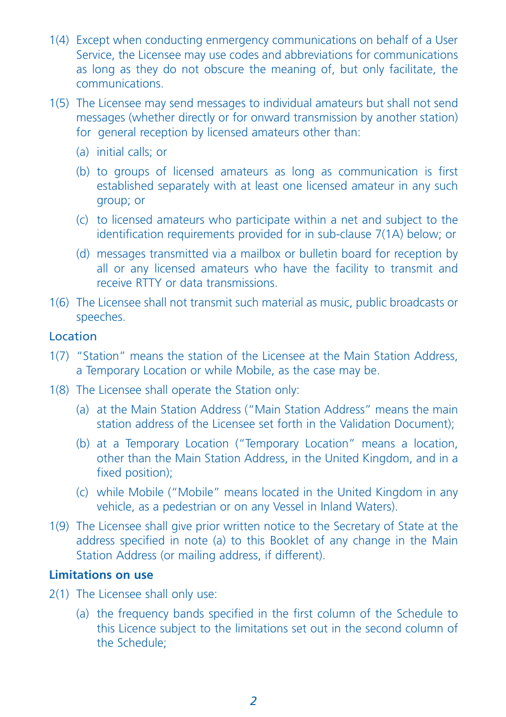- 1(4) Except when conducting enmergency communications on behalf of a User Service, the Licensee may use codes and abbreviations for communications as long as they do not obscure the meaning of, but only facilitate, the communications.
- 1(5) The Licensee may send messages to individual amateurs but shall not send messages (whether directly or for onward transmission by another station) for general reception by licensed amateurs other than:
	- (a) initial calls; or
	- (b) to groups of licensed amateurs as long as communication is first established separately with at least one licensed amateur in any such group; or
	- (c) to licensed amateurs who participate within a net and subject to the identification requirements provided for in sub-clause 7(1A) below; or
	- (d) messages transmitted via a mailbox or bulletin board for reception by all or any licensed amateurs who have the facility to transmit and receive RTTY or data transmissions.
- 1(6) The Licensee shall not transmit such material as music, public broadcasts or speeches.

#### Location

- 1(7) "Station" means the station of the Licensee at the Main Station Address, a Temporary Location or while Mobile, as the case may be.
- 1(8) The Licensee shall operate the Station only:
	- (a) at the Main Station Address ("Main Station Address" means the main station address of the Licensee set forth in the Validation Document);
	- (b) at a Temporary Location ("Temporary Location" means a location, other than the Main Station Address, in the United Kingdom, and in a fixed position);
	- (c) while Mobile ("Mobile" means located in the United Kingdom in any vehicle, as a pedestrian or on any Vessel in Inland Waters).
- 1(9) The Licensee shall give prior written notice to the Secretary of State at the address specified in note (a) to this Booklet of any change in the Main Station Address (or mailing address, if different).

#### **Limitations on use**

- 2(1) The Licensee shall only use:
	- (a) the frequency bands specified in the first column of the Schedule to this Licence subject to the limitations set out in the second column of the Schedule;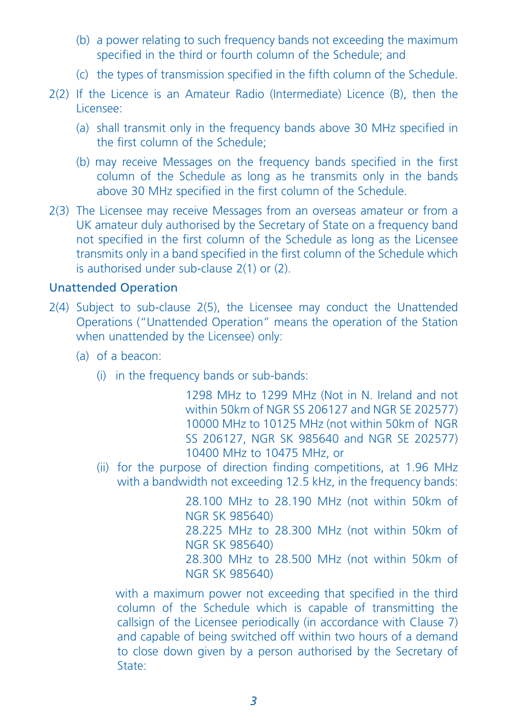- (b) a power relating to such frequency bands not exceeding the maximum specified in the third or fourth column of the Schedule; and
- (c) the types of transmission specified in the fifth column of the Schedule.
- 2(2) If the Licence is an Amateur Radio (Intermediate) Licence (B), then the Licensee:
	- (a) shall transmit only in the frequency bands above 30 MHz specified in the first column of the Schedule;
	- (b) may receive Messages on the frequency bands specified in the first column of the Schedule as long as he transmits only in the bands above 30 MHz specified in the first column of the Schedule.
- 2(3) The Licensee may receive Messages from an overseas amateur or from a UK amateur duly authorised by the Secretary of State on a frequency band not specified in the first column of the Schedule as long as the Licensee transmits only in a band specified in the first column of the Schedule which is authorised under sub-clause 2(1) or (2).

# Unattended Operation

- 2(4) Subject to sub-clause 2(5), the Licensee may conduct the Unattended Operations ("Unattended Operation" means the operation of the Station when unattended by the Licensee) only:
	- (a) of a beacon:
		- (i) in the frequency bands or sub-bands:

1298 MHz to 1299 MHz (Not in N. Ireland and not within 50km of NGR SS 206127 and NGR SE 202577) 10000 MHz to 10125 MHz (not within 50km of NGR SS 206127, NGR SK 985640 and NGR SE 202577) 10400 MHz to 10475 MHz, or

(ii) for the purpose of direction finding competitions, at 1.96 MHz with a bandwidth not exceeding 12.5 kHz, in the frequency bands:

> 28.100 MHz to 28.190 MHz (not within 50km of NGR SK 985640) 28.225 MHz to 28.300 MHz (not within 50km of NGR SK 985640) 28.300 MHz to 28.500 MHz (not within 50km of NGR SK 985640)

with a maximum power not exceeding that specified in the third column of the Schedule which is capable of transmitting the callsign of the Licensee periodically (in accordance with Clause 7) and capable of being switched off within two hours of a demand to close down given by a person authorised by the Secretary of State: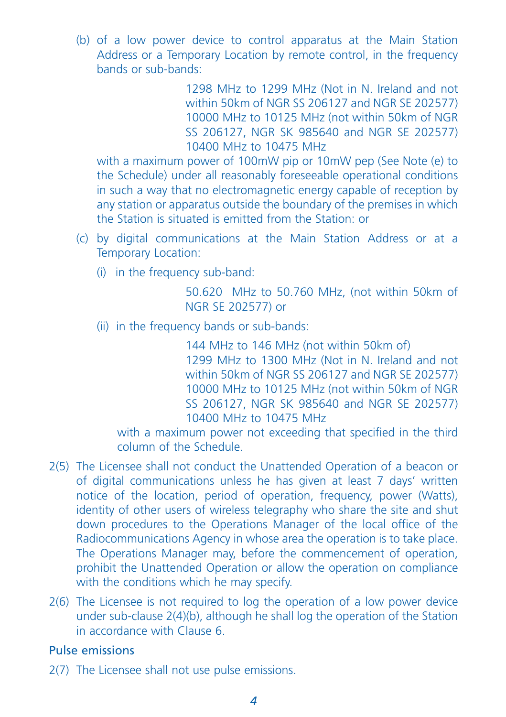(b) of a low power device to control apparatus at the Main Station Address or a Temporary Location by remote control, in the frequency bands or sub-bands:

> 1298 MHz to 1299 MHz (Not in N. Ireland and not within 50km of NGR SS 206127 and NGR SE 202577) 10000 MHz to 10125 MHz (not within 50km of NGR SS 206127, NGR SK 985640 and NGR SE 202577) 10400 MHz to 10475 MHz

with a maximum power of 100mW pip or 10mW pep (See Note (e) to the Schedule) under all reasonably foreseeable operational conditions in such a way that no electromagnetic energy capable of reception by any station or apparatus outside the boundary of the premises in which the Station is situated is emitted from the Station: or

- (c) by digital communications at the Main Station Address or at a Temporary Location:
	- (i) in the frequency sub-band:

50.620 MHz to 50.760 MHz, (not within 50km of NGR SE 202577) or

(ii) in the frequency bands or sub-bands:

144 MHz to 146 MHz (not within 50km of) 1299 MHz to 1300 MHz (Not in N. Ireland and not within 50km of NGR SS 206127 and NGR SE 202577) 10000 MHz to 10125 MHz (not within 50km of NGR SS 206127, NGR SK 985640 and NGR SE 202577) 10400 MHz to 10475 MHz

with a maximum power not exceeding that specified in the third column of the Schedule.

- 2(5) The Licensee shall not conduct the Unattended Operation of a beacon or of digital communications unless he has given at least 7 days' written notice of the location, period of operation, frequency, power (Watts), identity of other users of wireless telegraphy who share the site and shut down procedures to the Operations Manager of the local office of the Radiocommunications Agency in whose area the operation is to take place. The Operations Manager may, before the commencement of operation, prohibit the Unattended Operation or allow the operation on compliance with the conditions which he may specify.
- 2(6) The Licensee is not required to log the operation of a low power device under sub-clause 2(4)(b), although he shall log the operation of the Station in accordance with Clause 6.

### Pulse emissions

2(7) The Licensee shall not use pulse emissions.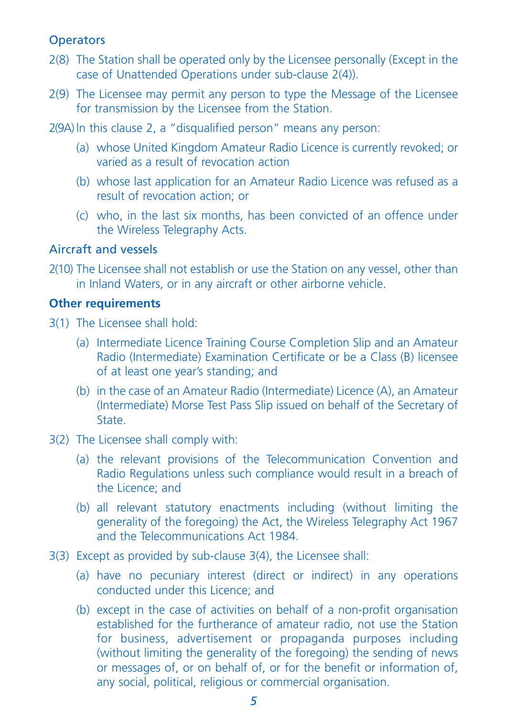# **Operators**

- 2(8) The Station shall be operated only by the Licensee personally (Except in the case of Unattended Operations under sub-clause 2(4)).
- 2(9) The Licensee may permit any person to type the Message of the Licensee for transmission by the Licensee from the Station.

2(9A) ln this clause 2, a "disqualified person" means any person:

- (a) whose United Kingdom Amateur Radio Licence is currently revoked; or varied as a result of revocation action
- (b) whose last application for an Amateur Radio Licence was refused as a result of revocation action; or
- (c) who, in the last six months, has been convicted of an offence under the Wireless Telegraphy Acts.

#### Aircraft and vessels

2(10) The Licensee shall not establish or use the Station on any vessel, other than in Inland Waters, or in any aircraft or other airborne vehicle.

#### **Other requirements**

- 3(1) The Licensee shall hold:
	- (a) Intermediate Licence Training Course Completion Slip and an Amateur Radio (Intermediate) Examination Certificate or be a Class (B) licensee of at least one year's standing; and
	- (b) in the case of an Amateur Radio (Intermediate) Licence (A), an Amateur (Intermediate) Morse Test Pass Slip issued on behalf of the Secretary of State.
- 3(2) The Licensee shall comply with:
	- (a) the relevant provisions of the Telecommunication Convention and Radio Regulations unless such compliance would result in a breach of the Licence; and
	- (b) all relevant statutory enactments including (without limiting the generality of the foregoing) the Act, the Wireless Telegraphy Act 1967 and the Telecommunications Act 1984.
- 3(3) Except as provided by sub-clause 3(4), the Licensee shall:
	- (a) have no pecuniary interest (direct or indirect) in any operations conducted under this Licence; and
	- (b) except in the case of activities on behalf of a non-profit organisation established for the furtherance of amateur radio, not use the Station for business, advertisement or propaganda purposes including (without limiting the generality of the foregoing) the sending of news or messages of, or on behalf of, or for the benefit or information of, any social, political, religious or commercial organisation.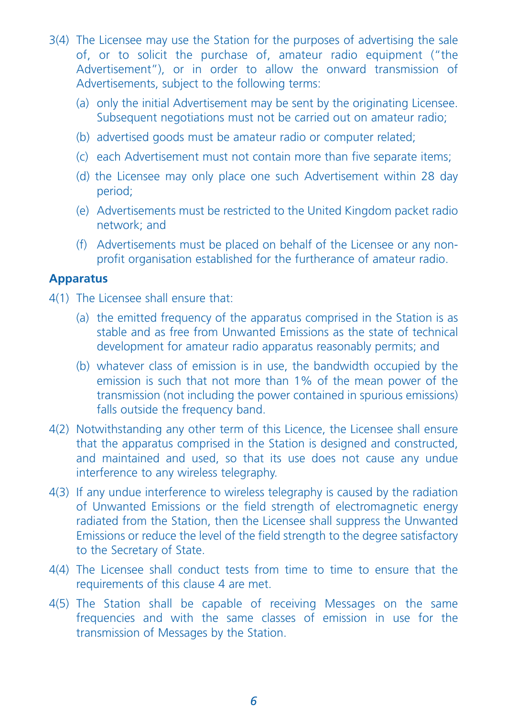- 3(4) The Licensee may use the Station for the purposes of advertising the sale of, or to solicit the purchase of, amateur radio equipment ("the Advertisement"), or in order to allow the onward transmission of Advertisements, subject to the following terms:
	- (a) only the initial Advertisement may be sent by the originating Licensee. Subsequent negotiations must not be carried out on amateur radio;
	- (b) advertised goods must be amateur radio or computer related;
	- (c) each Advertisement must not contain more than five separate items;
	- (d) the Licensee may only place one such Advertisement within 28 day period;
	- (e) Advertisements must be restricted to the United Kingdom packet radio network; and
	- (f) Advertisements must be placed on behalf of the Licensee or any nonprofit organisation established for the furtherance of amateur radio.

#### **Apparatus**

- 4(1) The Licensee shall ensure that:
	- (a) the emitted frequency of the apparatus comprised in the Station is as stable and as free from Unwanted Emissions as the state of technical development for amateur radio apparatus reasonably permits; and
	- (b) whatever class of emission is in use, the bandwidth occupied by the emission is such that not more than 1% of the mean power of the transmission (not including the power contained in spurious emissions) falls outside the frequency band.
- 4(2) Notwithstanding any other term of this Licence, the Licensee shall ensure that the apparatus comprised in the Station is designed and constructed, and maintained and used, so that its use does not cause any undue interference to any wireless telegraphy.
- 4(3) If any undue interference to wireless telegraphy is caused by the radiation of Unwanted Emissions or the field strength of electromagnetic energy radiated from the Station, then the Licensee shall suppress the Unwanted Emissions or reduce the level of the field strength to the degree satisfactory to the Secretary of State.
- 4(4) The Licensee shall conduct tests from time to time to ensure that the requirements of this clause 4 are met.
- 4(5) The Station shall be capable of receiving Messages on the same frequencies and with the same classes of emission in use for the transmission of Messages by the Station.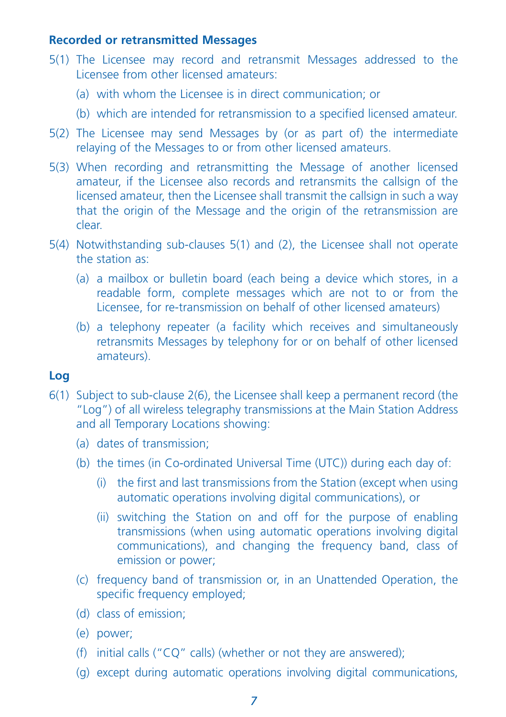### **Recorded or retransmitted Messages**

- 5(1) The Licensee may record and retransmit Messages addressed to the Licensee from other licensed amateurs:
	- (a) with whom the Licensee is in direct communication; or
	- (b) which are intended for retransmission to a specified licensed amateur.
- 5(2) The Licensee may send Messages by (or as part of) the intermediate relaying of the Messages to or from other licensed amateurs.
- 5(3) When recording and retransmitting the Message of another licensed amateur, if the Licensee also records and retransmits the callsign of the licensed amateur, then the Licensee shall transmit the callsign in such a way that the origin of the Message and the origin of the retransmission are clear.
- 5(4) Notwithstanding sub-clauses 5(1) and (2), the Licensee shall not operate the station as:
	- (a) a mailbox or bulletin board (each being a device which stores, in a readable form, complete messages which are not to or from the Licensee, for re-transmission on behalf of other licensed amateurs)
	- (b) a telephony repeater (a facility which receives and simultaneously retransmits Messages by telephony for or on behalf of other licensed amateurs).

# **Log**

- 6(1) Subject to sub-clause 2(6), the Licensee shall keep a permanent record (the "Log") of all wireless telegraphy transmissions at the Main Station Address and all Temporary Locations showing:
	- (a) dates of transmission;
	- (b) the times (in Co-ordinated Universal Time (UTC)) during each day of:
		- (i) the first and last transmissions from the Station (except when using automatic operations involving digital communications), or
		- (ii) switching the Station on and off for the purpose of enabling transmissions (when using automatic operations involving digital communications), and changing the frequency band, class of emission or power;
	- (c) frequency band of transmission or, in an Unattended Operation, the specific frequency employed;
	- (d) class of emission;
	- (e) power;
	- (f) initial calls ("CQ" calls) (whether or not they are answered);
	- (g) except during automatic operations involving digital communications,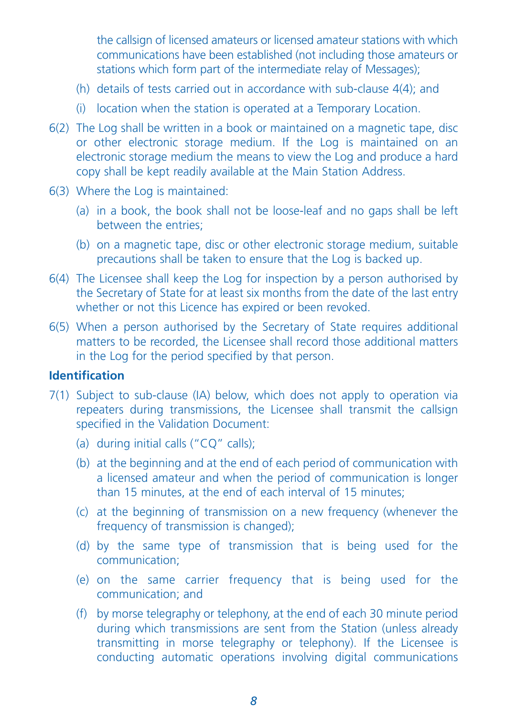the callsign of licensed amateurs or licensed amateur stations with which communications have been established (not including those amateurs or stations which form part of the intermediate relay of Messages);

- (h) details of tests carried out in accordance with sub-clause 4(4); and
- (i) location when the station is operated at a Temporary Location.
- 6(2) The Log shall be written in a book or maintained on a magnetic tape, disc or other electronic storage medium. If the Log is maintained on an electronic storage medium the means to view the Log and produce a hard copy shall be kept readily available at the Main Station Address.
- 6(3) Where the Log is maintained:
	- (a) in a book, the book shall not be loose-leaf and no gaps shall be left between the entries;
	- (b) on a magnetic tape, disc or other electronic storage medium, suitable precautions shall be taken to ensure that the Log is backed up.
- 6(4) The Licensee shall keep the Log for inspection by a person authorised by the Secretary of State for at least six months from the date of the last entry whether or not this Licence has expired or been revoked.
- 6(5) When a person authorised by the Secretary of State requires additional matters to be recorded, the Licensee shall record those additional matters in the Log for the period specified by that person.

## **Identification**

- 7(1) Subject to sub-clause (IA) below, which does not apply to operation via repeaters during transmissions, the Licensee shall transmit the callsign specified in the Validation Document:
	- (a) during initial calls ("CQ" calls);
	- (b) at the beginning and at the end of each period of communication with a licensed amateur and when the period of communication is longer than 15 minutes, at the end of each interval of 15 minutes;
	- (c) at the beginning of transmission on a new frequency (whenever the frequency of transmission is changed);
	- (d) by the same type of transmission that is being used for the communication;
	- (e) on the same carrier frequency that is being used for the communication; and
	- (f) by morse telegraphy or telephony, at the end of each 30 minute period during which transmissions are sent from the Station (unless already transmitting in morse telegraphy or telephony). If the Licensee is conducting automatic operations involving digital communications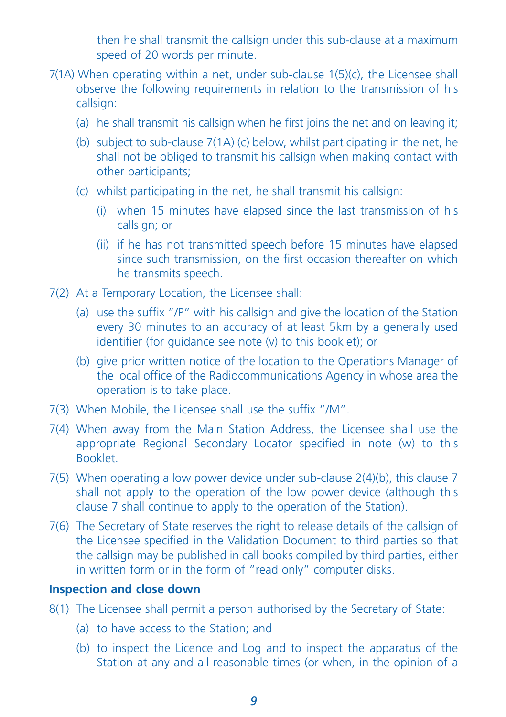then he shall transmit the callsign under this sub-clause at a maximum speed of 20 words per minute.

- 7(1A) When operating within a net, under sub-clause 1(5)(c), the Licensee shall observe the following requirements in relation to the transmission of his callsign:
	- (a) he shall transmit his callsign when he first joins the net and on leaving it;
	- (b) subject to sub-clause 7(1A) (c) below, whilst participating in the net, he shall not be obliged to transmit his callsign when making contact with other participants;
	- (c) whilst participating in the net, he shall transmit his callsign:
		- (i) when 15 minutes have elapsed since the last transmission of his callsign; or
		- (ii) if he has not transmitted speech before 15 minutes have elapsed since such transmission, on the first occasion thereafter on which he transmits speech.
- 7(2) At a Temporary Location, the Licensee shall:
	- (a) use the suffix "/P" with his callsign and give the location of the Station every 30 minutes to an accuracy of at least 5km by a generally used identifier (for guidance see note (v) to this booklet); or
	- (b) give prior written notice of the location to the Operations Manager of the local office of the Radiocommunications Agency in whose area the operation is to take place.
- 7(3) When Mobile, the Licensee shall use the suffix "/M".
- 7(4) When away from the Main Station Address, the Licensee shall use the appropriate Regional Secondary Locator specified in note (w) to this Booklet.
- 7(5) When operating a low power device under sub-clause 2(4)(b), this clause 7 shall not apply to the operation of the low power device (although this clause 7 shall continue to apply to the operation of the Station).
- 7(6) The Secretary of State reserves the right to release details of the callsign of the Licensee specified in the Validation Document to third parties so that the callsign may be published in call books compiled by third parties, either in written form or in the form of "read only" computer disks.

#### **Inspection and close down**

- 8(1) The Licensee shall permit a person authorised by the Secretary of State:
	- (a) to have access to the Station; and
	- (b) to inspect the Licence and Log and to inspect the apparatus of the Station at any and all reasonable times (or when, in the opinion of a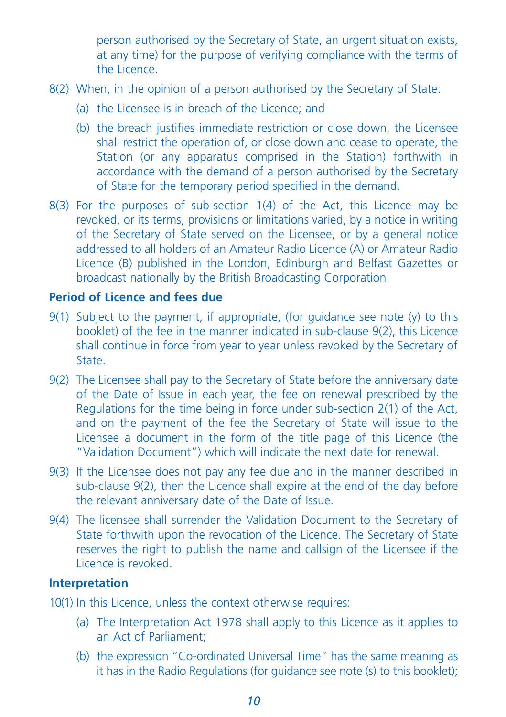person authorised by the Secretary of State, an urgent situation exists, at any time) for the purpose of verifying compliance with the terms of the Licence.

- 8(2) When, in the opinion of a person authorised by the Secretary of State:
	- (a) the Licensee is in breach of the Licence; and
	- (b) the breach justifies immediate restriction or close down, the Licensee shall restrict the operation of, or close down and cease to operate, the Station (or any apparatus comprised in the Station) forthwith in accordance with the demand of a person authorised by the Secretary of State for the temporary period specified in the demand.
- 8(3) For the purposes of sub-section 1(4) of the Act, this Licence may be revoked, or its terms, provisions or limitations varied, by a notice in writing of the Secretary of State served on the Licensee, or by a general notice addressed to all holders of an Amateur Radio Licence (A) or Amateur Radio Licence (B) published in the London, Edinburgh and Belfast Gazettes or broadcast nationally by the British Broadcasting Corporation.

# **Period of Licence and fees due**

- 9(1) Subject to the payment, if appropriate, (for guidance see note (y) to this booklet) of the fee in the manner indicated in sub-clause 9(2), this Licence shall continue in force from year to year unless revoked by the Secretary of State.
- 9(2) The Licensee shall pay to the Secretary of State before the anniversary date of the Date of Issue in each year, the fee on renewal prescribed by the Regulations for the time being in force under sub-section 2(1) of the Act, and on the payment of the fee the Secretary of State will issue to the Licensee a document in the form of the title page of this Licence (the "Validation Document") which will indicate the next date for renewal.
- 9(3) If the Licensee does not pay any fee due and in the manner described in sub-clause 9(2), then the Licence shall expire at the end of the day before the relevant anniversary date of the Date of Issue.
- 9(4) The licensee shall surrender the Validation Document to the Secretary of State forthwith upon the revocation of the Licence. The Secretary of State reserves the right to publish the name and callsign of the Licensee if the Licence is revoked.

## **Interpretation**

- 10(1) In this Licence, unless the context otherwise requires:
	- (a) The Interpretation Act 1978 shall apply to this Licence as it applies to an Act of Parliament;
	- (b) the expression "Co-ordinated Universal Time" has the same meaning as it has in the Radio Regulations (for guidance see note (s) to this booklet);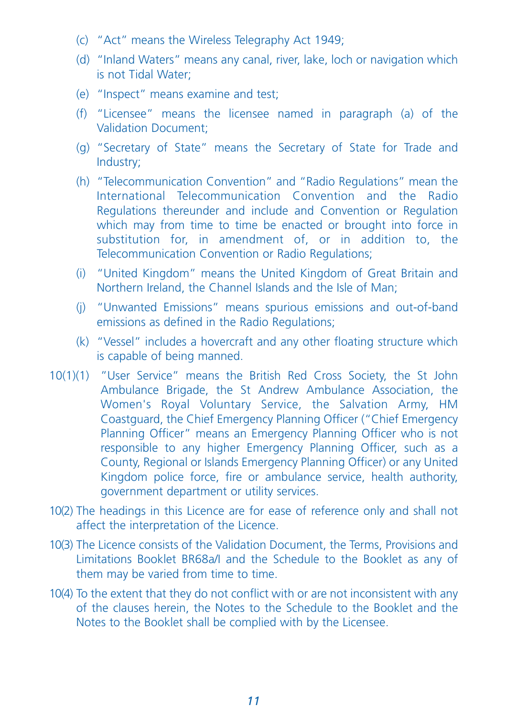- (c) "Act" means the Wireless Telegraphy Act 1949;
- (d) "Inland Waters" means any canal, river, lake, loch or navigation which is not Tidal Water;
- (e) "Inspect" means examine and test;
- (f) "Licensee" means the licensee named in paragraph (a) of the Validation Document;
- (g) "Secretary of State" means the Secretary of State for Trade and Industry;
- (h) "Telecommunication Convention" and "Radio Regulations" mean the International Telecommunication Convention and the Radio Regulations thereunder and include and Convention or Regulation which may from time to time be enacted or brought into force in substitution for, in amendment of, or in addition to, the Telecommunication Convention or Radio Regulations;
- (i) "United Kingdom" means the United Kingdom of Great Britain and Northern Ireland, the Channel Islands and the Isle of Man;
- (j) "Unwanted Emissions" means spurious emissions and out-of-band emissions as defined in the Radio Regulations;
- (k) "Vessel" includes a hovercraft and any other floating structure which is capable of being manned.
- 10(1)(1) "User Service" means the British Red Cross Society, the St John Ambulance Brigade, the St Andrew Ambulance Association, the Women's Royal Voluntary Service, the Salvation Army, HM Coastguard, the Chief Emergency Planning Officer ("Chief Emergency Planning Officer" means an Emergency Planning Officer who is not responsible to any higher Emergency Planning Officer, such as a County, Regional or Islands Emergency Planning Officer) or any United Kingdom police force, fire or ambulance service, health authority, government department or utility services.
- 10(2) The headings in this Licence are for ease of reference only and shall not affect the interpretation of the Licence.
- 10(3) The Licence consists of the Validation Document, the Terms, Provisions and Limitations Booklet BR68a/I and the Schedule to the Booklet as any of them may be varied from time to time.
- 10(4) To the extent that they do not conflict with or are not inconsistent with any of the clauses herein, the Notes to the Schedule to the Booklet and the Notes to the Booklet shall be complied with by the Licensee.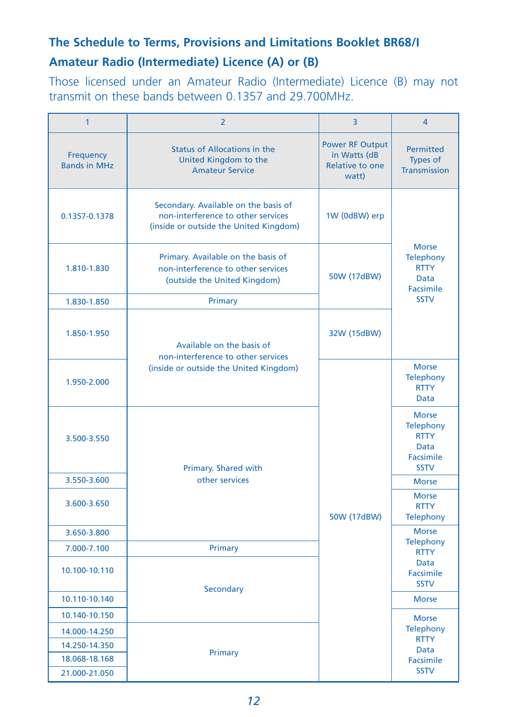# **The Schedule to Terms, Provisions and Limitations Booklet BR68/I**

# **Amateur Radio (Intermediate) Licence (A) or (B)**

Those licensed under an Amateur Radio (Intermediate) Licence (B) may not transmit on these bands between 0.1357 and 29.700MHz.

| $\mathbf{1}$                     | $\overline{2}$                                                                                                       | 3                                                                  | $\overline{4}$                                                                      |  |
|----------------------------------|----------------------------------------------------------------------------------------------------------------------|--------------------------------------------------------------------|-------------------------------------------------------------------------------------|--|
| Frequency<br><b>Bands in MHz</b> | <b>Status of Allocations in the</b><br>United Kingdom to the<br><b>Amateur Service</b>                               | <b>Power RF Output</b><br>in Watts (dB<br>Relative to one<br>watt) | <b>Permitted</b><br>Types of<br>Transmission                                        |  |
| 0.1357-0.1378                    | Secondary. Available on the basis of<br>non-interference to other services<br>(inside or outside the United Kingdom) | 1W (0dBW) erp                                                      | <b>Morse</b><br><b>Telephony</b><br><b>RTTY</b><br><b>Data</b><br>Facsimile         |  |
| 1.810-1.830                      | Primary. Available on the basis of<br>non-interference to other services<br>(outside the United Kingdom)             | 50W (17dBW)                                                        |                                                                                     |  |
| 1.830-1.850                      | Primary                                                                                                              |                                                                    | <b>SSTV</b>                                                                         |  |
| 1.850-1.950                      | Available on the basis of<br>non-interference to other services                                                      | 32W (15dBW)                                                        |                                                                                     |  |
| 1.950-2.000                      | (inside or outside the United Kingdom)                                                                               | 50W (17dBW)                                                        | <b>Morse</b><br><b>Telephony</b><br><b>RTTY</b><br><b>Data</b>                      |  |
| 3.500-3.550                      | Primary. Shared with                                                                                                 |                                                                    | <b>Morse</b><br>Telephony<br><b>RTTY</b><br><b>Data</b><br>Facsimile<br><b>SSTV</b> |  |
| 3.550-3.600                      | other services                                                                                                       |                                                                    | <b>Morse</b>                                                                        |  |
| 3.600-3.650                      |                                                                                                                      |                                                                    | <b>Morse</b><br><b>RTTY</b><br><b>Telephony</b>                                     |  |
| 3.650-3.800                      |                                                                                                                      |                                                                    | <b>Morse</b>                                                                        |  |
| 7.000-7.100                      | Primary                                                                                                              |                                                                    | Telephony<br><b>RTTY</b>                                                            |  |
| 10.100-10.110                    | Secondary                                                                                                            |                                                                    | <b>Data</b><br>Facsimile<br><b>SSTV</b>                                             |  |
| 10.110-10.140                    |                                                                                                                      |                                                                    | <b>Morse</b>                                                                        |  |
| 10.140-10.150                    |                                                                                                                      |                                                                    | <b>Morse</b>                                                                        |  |
| 14.000-14.250                    |                                                                                                                      |                                                                    | Telephony                                                                           |  |
| 14.250-14.350                    |                                                                                                                      |                                                                    | <b>RTTY</b><br><b>Data</b>                                                          |  |
| 18.068-18.168                    | Primary                                                                                                              |                                                                    | Facsimile                                                                           |  |
| 21.000-21.050                    |                                                                                                                      |                                                                    | <b>SSTV</b>                                                                         |  |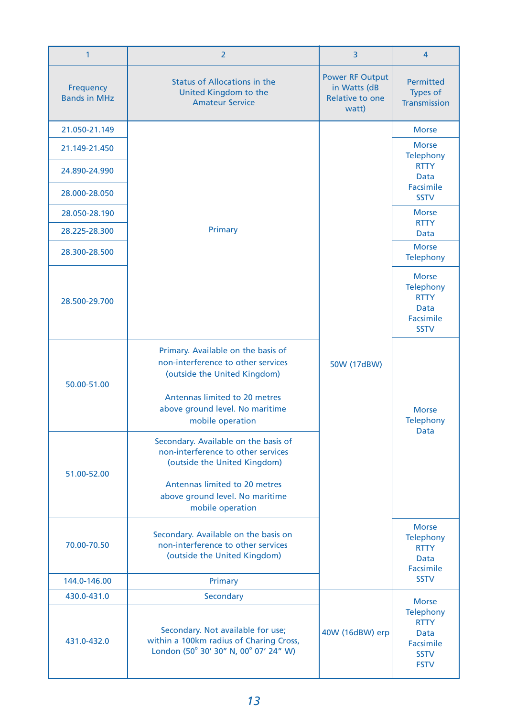| $\mathbf{1}$                     | $\overline{2}$                                                                                                                              | 3                                                                  | $\overline{4}$                                                                      |  |
|----------------------------------|---------------------------------------------------------------------------------------------------------------------------------------------|--------------------------------------------------------------------|-------------------------------------------------------------------------------------|--|
| Frequency<br><b>Bands in MHz</b> | <b>Status of Allocations in the</b><br>United Kingdom to the<br><b>Amateur Service</b>                                                      | <b>Power RF Output</b><br>in Watts (dB<br>Relative to one<br>watt) | <b>Permitted</b><br><b>Types of</b><br><b>Transmission</b>                          |  |
| 21.050-21.149                    |                                                                                                                                             |                                                                    | <b>Morse</b>                                                                        |  |
| 21.149-21.450                    |                                                                                                                                             |                                                                    | <b>Morse</b><br><b>Telephony</b>                                                    |  |
| 24.890-24.990                    |                                                                                                                                             |                                                                    | <b>RTTY</b><br><b>Data</b>                                                          |  |
| 28.000-28.050                    |                                                                                                                                             |                                                                    | Facsimile<br><b>SSTV</b>                                                            |  |
| 28.050-28.190                    |                                                                                                                                             |                                                                    | <b>Morse</b><br><b>RTTY</b>                                                         |  |
| 28.225-28.300                    | Primary                                                                                                                                     |                                                                    | Data                                                                                |  |
| 28.300-28.500                    |                                                                                                                                             |                                                                    | <b>Morse</b><br><b>Telephony</b>                                                    |  |
| 28.500-29.700                    |                                                                                                                                             |                                                                    | <b>Morse</b><br><b>Telephony</b><br><b>RTTY</b><br>Data<br>Facsimile<br><b>SSTV</b> |  |
| 50.00-51.00                      | Primary. Available on the basis of<br>non-interference to other services<br>(outside the United Kingdom)<br>Antennas limited to 20 metres   | 50W (17dBW)                                                        | <b>Morse</b><br><b>Telephony</b><br>Data                                            |  |
|                                  | above ground level. No maritime<br>mobile operation                                                                                         |                                                                    |                                                                                     |  |
| 51.00-52.00                      | Secondary. Available on the basis of<br>non-interference to other services<br>(outside the United Kingdom)<br>Antennas limited to 20 metres |                                                                    |                                                                                     |  |
|                                  | above ground level. No maritime<br>mobile operation                                                                                         |                                                                    |                                                                                     |  |
| 70.00-70.50                      | Secondary. Available on the basis on<br>non-interference to other services<br>(outside the United Kingdom)                                  |                                                                    | <b>Morse</b><br><b>Telephony</b><br><b>RTTY</b><br>Data<br>Facsimile                |  |
| 144.0-146.00                     | Primary                                                                                                                                     |                                                                    | <b>SSTV</b>                                                                         |  |
| 430.0-431.0                      | Secondary                                                                                                                                   |                                                                    | <b>Morse</b>                                                                        |  |
| 431.0-432.0                      | Secondary. Not available for use;<br>within a 100km radius of Charing Cross,<br>London (50° 30' 30" N, 00° 07' 24" W)                       | 40W (16dBW) erp                                                    | Telephony<br><b>RTTY</b><br><b>Data</b><br>Facsimile<br><b>SSTV</b><br><b>FSTV</b>  |  |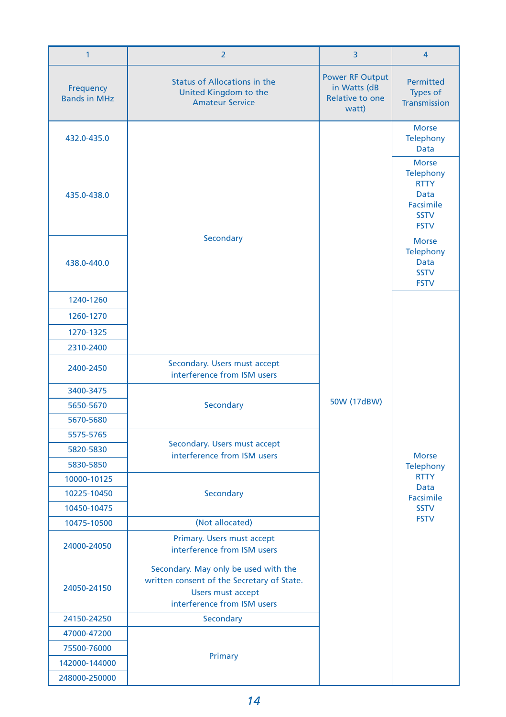| $\mathbf{1}$                     | $\overline{2}$                                                                                                                                               | 3           | $\overline{4}$                                                                              |
|----------------------------------|--------------------------------------------------------------------------------------------------------------------------------------------------------------|-------------|---------------------------------------------------------------------------------------------|
| Frequency<br><b>Bands in MHz</b> | <b>Power RF Output</b><br><b>Status of Allocations in the</b><br>in Watts (dB<br>United Kingdom to the<br>Relative to one<br><b>Amateur Service</b><br>watt) |             | <b>Permitted</b><br>Types of<br><b>Transmission</b>                                         |
| 432.0-435.0                      |                                                                                                                                                              |             | <b>Morse</b><br><b>Telephony</b><br>Data                                                    |
| 435.0-438.0                      |                                                                                                                                                              | 50W (17dBW) | <b>Morse</b><br>Telephony<br><b>RTTY</b><br>Data<br>Facsimile<br><b>SSTV</b><br><b>FSTV</b> |
| 438.0-440.0                      | Secondary                                                                                                                                                    |             | <b>Morse</b><br><b>Telephony</b><br><b>Data</b><br><b>SSTV</b><br><b>FSTV</b>               |
| 1240-1260                        |                                                                                                                                                              |             | <b>Morse</b><br><b>Telephony</b>                                                            |
| 1260-1270                        |                                                                                                                                                              |             |                                                                                             |
| 1270-1325                        |                                                                                                                                                              |             |                                                                                             |
| 2310-2400                        |                                                                                                                                                              |             |                                                                                             |
| 2400-2450                        | Secondary. Users must accept<br>interference from ISM users                                                                                                  |             |                                                                                             |
| 3400-3475                        | Secondary                                                                                                                                                    |             |                                                                                             |
| 5650-5670                        |                                                                                                                                                              |             |                                                                                             |
| 5670-5680                        |                                                                                                                                                              |             |                                                                                             |
| 5575-5765                        |                                                                                                                                                              |             |                                                                                             |
| 5820-5830                        | Secondary. Users must accept<br>interference from ISM users                                                                                                  |             |                                                                                             |
| 5830-5850                        |                                                                                                                                                              |             |                                                                                             |
| 10000-10125                      |                                                                                                                                                              |             | <b>RTTY</b>                                                                                 |
| 10225-10450                      | Secondary                                                                                                                                                    |             | Data<br>Facsimile                                                                           |
| 10450-10475                      |                                                                                                                                                              |             | <b>SSTV</b>                                                                                 |
| 10475-10500                      | (Not allocated)                                                                                                                                              |             | <b>FSTV</b>                                                                                 |
| 24000-24050                      | Primary. Users must accept<br>interference from ISM users                                                                                                    |             |                                                                                             |
| 24050-24150                      | Secondary. May only be used with the<br>written consent of the Secretary of State.<br><b>Users must accept</b><br>interference from ISM users                |             |                                                                                             |
| 24150-24250                      | Secondary                                                                                                                                                    |             |                                                                                             |
| 47000-47200                      |                                                                                                                                                              |             |                                                                                             |
| 75500-76000                      |                                                                                                                                                              |             |                                                                                             |
| 142000-144000                    | Primary                                                                                                                                                      |             |                                                                                             |
| 248000-250000                    |                                                                                                                                                              |             |                                                                                             |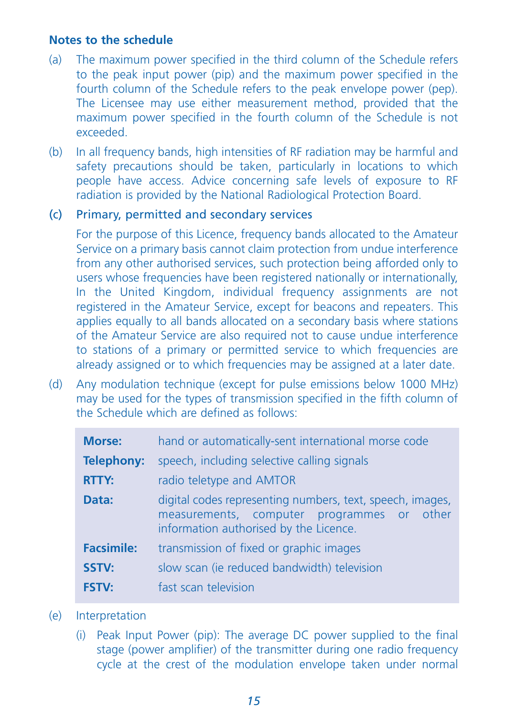#### **Notes to the schedule**

- (a) The maximum power specified in the third column of the Schedule refers to the peak input power (pip) and the maximum power specified in the fourth column of the Schedule refers to the peak envelope power (pep). The Licensee may use either measurement method, provided that the maximum power specified in the fourth column of the Schedule is not exceeded.
- (b) In all frequency bands, high intensities of RF radiation may be harmful and safety precautions should be taken, particularly in locations to which people have access. Advice concerning safe levels of exposure to RF radiation is provided by the National Radiological Protection Board.

# (c) Primary, permitted and secondary services

For the purpose of this Licence, frequency bands allocated to the Amateur Service on a primary basis cannot claim protection from undue interference from any other authorised services, such protection being afforded only to users whose frequencies have been registered nationally or internationally, In the United Kingdom, individual frequency assignments are not registered in the Amateur Service, except for beacons and repeaters. This applies equally to all bands allocated on a secondary basis where stations of the Amateur Service are also required not to cause undue interference to stations of a primary or permitted service to which frequencies are already assigned or to which frequencies may be assigned at a later date.

(d) Any modulation technique (except for pulse emissions below 1000 MHz) may be used for the types of transmission specified in the fifth column of the Schedule which are defined as follows:

| <b>Morse:</b>     | hand or automatically-sent international morse code                                                                                               |  |  |
|-------------------|---------------------------------------------------------------------------------------------------------------------------------------------------|--|--|
| <b>Telephony:</b> | speech, including selective calling signals                                                                                                       |  |  |
| <b>RTTY:</b>      | radio teletype and AMTOR                                                                                                                          |  |  |
| Data:             | digital codes representing numbers, text, speech, images,<br>measurements, computer programmes or other<br>information authorised by the Licence. |  |  |
| <b>Facsimile:</b> | transmission of fixed or graphic images                                                                                                           |  |  |
| SSTV:             | slow scan (ie reduced bandwidth) television                                                                                                       |  |  |
| <b>FSTV:</b>      | fast scan television                                                                                                                              |  |  |

- (e) Interpretation
	- (i) Peak Input Power (pip): The average DC power supplied to the final stage (power amplifier) of the transmitter during one radio frequency cycle at the crest of the modulation envelope taken under normal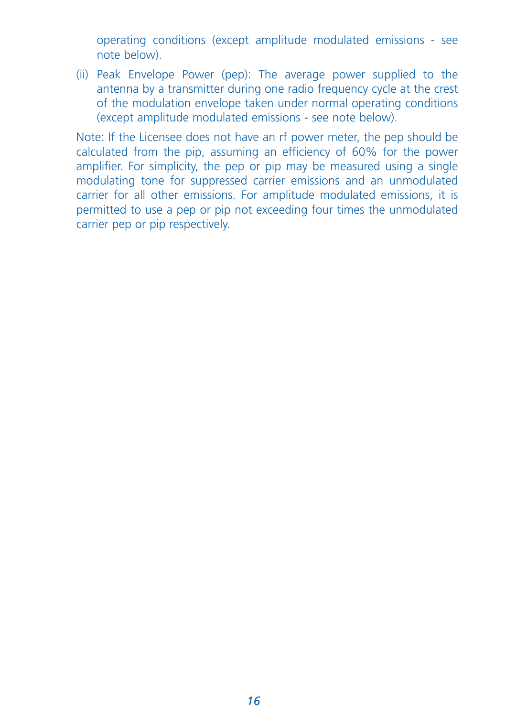operating conditions (except amplitude modulated emissions - see note below).

(ii) Peak Envelope Power (pep): The average power supplied to the antenna by a transmitter during one radio frequency cycle at the crest of the modulation envelope taken under normal operating conditions (except amplitude modulated emissions - see note below).

Note: If the Licensee does not have an rf power meter, the pep should be calculated from the pip, assuming an efficiency of 60% for the power amplifier. For simplicity, the pep or pip may be measured using a single modulating tone for suppressed carrier emissions and an unmodulated carrier for all other emissions. For amplitude modulated emissions, it is permitted to use a pep or pip not exceeding four times the unmodulated carrier pep or pip respectively.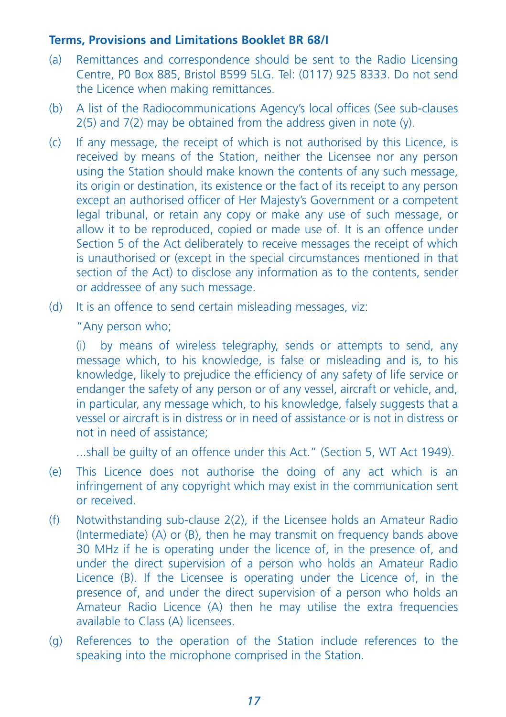#### **Terms, Provisions and Limitations Booklet BR 68/I**

- (a) Remittances and correspondence should be sent to the Radio Licensing Centre, P0 Box 885, Bristol B599 5LG. Tel: (0117) 925 8333. Do not send the Licence when making remittances.
- (b) A list of the Radiocommunications Agency's local offices (See sub-clauses  $2(5)$  and  $7(2)$  may be obtained from the address given in note (y).
- (c) If any message, the receipt of which is not authorised by this Licence, is received by means of the Station, neither the Licensee nor any person using the Station should make known the contents of any such message, its origin or destination, its existence or the fact of its receipt to any person except an authorised officer of Her Majesty's Government or a competent legal tribunal, or retain any copy or make any use of such message, or allow it to be reproduced, copied or made use of. It is an offence under Section 5 of the Act deliberately to receive messages the receipt of which is unauthorised or (except in the special circumstances mentioned in that section of the Act) to disclose any information as to the contents, sender or addressee of any such message.
- (d) It is an offence to send certain misleading messages, viz:

"Any person who;

(i) by means of wireless telegraphy, sends or attempts to send, any message which, to his knowledge, is false or misleading and is, to his knowledge, likely to prejudice the efficiency of any safety of life service or endanger the safety of any person or of any vessel, aircraft or vehicle, and, in particular, any message which, to his knowledge, falsely suggests that a vessel or aircraft is in distress or in need of assistance or is not in distress or not in need of assistance;

...shall be guilty of an offence under this Act." (Section 5, WT Act 1949).

- (e) This Licence does not authorise the doing of any act which is an infringement of any copyright which may exist in the communication sent or received.
- (f) Notwithstanding sub-clause 2(2), if the Licensee holds an Amateur Radio (Intermediate) (A) or (B), then he may transmit on frequency bands above 30 MHz if he is operating under the licence of, in the presence of, and under the direct supervision of a person who holds an Amateur Radio Licence (B). If the Licensee is operating under the Licence of, in the presence of, and under the direct supervision of a person who holds an Amateur Radio Licence (A) then he may utilise the extra frequencies available to Class (A) licensees.
- (g) References to the operation of the Station include references to the speaking into the microphone comprised in the Station.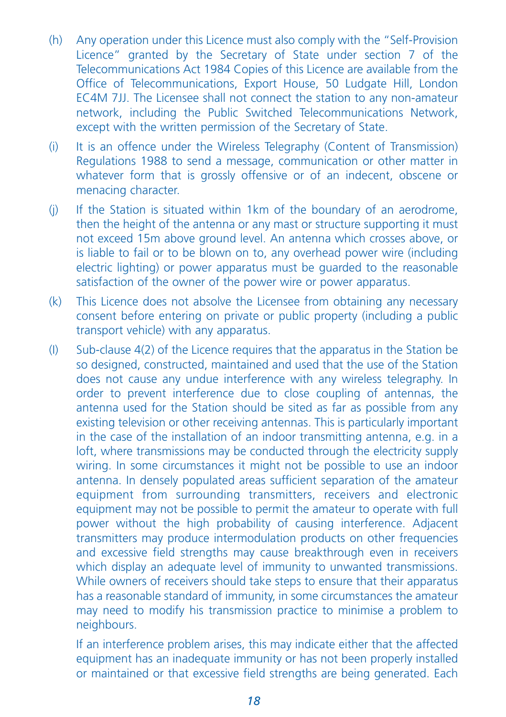- (h) Any operation under this Licence must also comply with the "Self-Provision Licence" granted by the Secretary of State under section 7 of the Telecommunications Act 1984 Copies of this Licence are available from the Office of Telecommunications, Export House, 50 Ludgate Hill, London EC4M 7JJ. The Licensee shall not connect the station to any non-amateur network, including the Public Switched Telecommunications Network, except with the written permission of the Secretary of State.
- (i) It is an offence under the Wireless Telegraphy (Content of Transmission) Regulations 1988 to send a message, communication or other matter in whatever form that is grossly offensive or of an indecent, obscene or menacing character.
- (j) If the Station is situated within 1km of the boundary of an aerodrome, then the height of the antenna or any mast or structure supporting it must not exceed 15m above ground level. An antenna which crosses above, or is liable to fail or to be blown on to, any overhead power wire (including electric lighting) or power apparatus must be guarded to the reasonable satisfaction of the owner of the power wire or power apparatus.
- (k) This Licence does not absolve the Licensee from obtaining any necessary consent before entering on private or public property (including a public transport vehicle) with any apparatus.
- (I) Sub-clause 4(2) of the Licence requires that the apparatus in the Station be so designed, constructed, maintained and used that the use of the Station does not cause any undue interference with any wireless telegraphy. In order to prevent interference due to close coupling of antennas, the antenna used for the Station should be sited as far as possible from any existing television or other receiving antennas. This is particularly important in the case of the installation of an indoor transmitting antenna, e.g. in a loft, where transmissions may be conducted through the electricity supply wiring. In some circumstances it might not be possible to use an indoor antenna. In densely populated areas sufficient separation of the amateur equipment from surrounding transmitters, receivers and electronic equipment may not be possible to permit the amateur to operate with full power without the high probability of causing interference. Adjacent transmitters may produce intermodulation products on other frequencies and excessive field strengths may cause breakthrough even in receivers which display an adequate level of immunity to unwanted transmissions. While owners of receivers should take steps to ensure that their apparatus has a reasonable standard of immunity, in some circumstances the amateur may need to modify his transmission practice to minimise a problem to neighbours.

If an interference problem arises, this may indicate either that the affected equipment has an inadequate immunity or has not been properly installed or maintained or that excessive field strengths are being generated. Each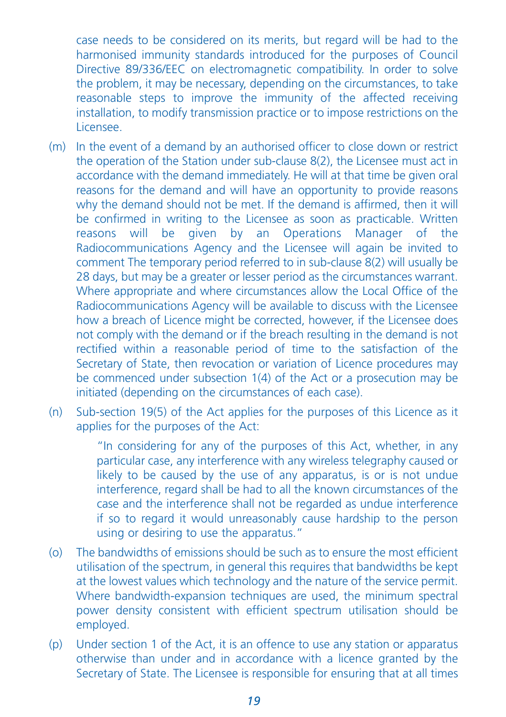case needs to be considered on its merits, but regard will be had to the harmonised immunity standards introduced for the purposes of Council Directive 89/336/EEC on electromagnetic compatibility. In order to solve the problem, it may be necessary, depending on the circumstances, to take reasonable steps to improve the immunity of the affected receiving installation, to modify transmission practice or to impose restrictions on the Licensee.

- (m) In the event of a demand by an authorised officer to close down or restrict the operation of the Station under sub-clause 8(2), the Licensee must act in accordance with the demand immediately. He will at that time be given oral reasons for the demand and will have an opportunity to provide reasons why the demand should not be met. If the demand is affirmed, then it will be confirmed in writing to the Licensee as soon as practicable. Written reasons will be given by an Operations Manager of the Radiocommunications Agency and the Licensee will again be invited to comment The temporary period referred to in sub-clause 8(2) will usually be 28 days, but may be a greater or lesser period as the circumstances warrant. Where appropriate and where circumstances allow the Local Office of the Radiocommunications Agency will be available to discuss with the Licensee how a breach of Licence might be corrected, however, if the Licensee does not comply with the demand or if the breach resulting in the demand is not rectified within a reasonable period of time to the satisfaction of the Secretary of State, then revocation or variation of Licence procedures may be commenced under subsection 1(4) of the Act or a prosecution may be initiated (depending on the circumstances of each case).
- (n) Sub-section 19(5) of the Act applies for the purposes of this Licence as it applies for the purposes of the Act:

"In considering for any of the purposes of this Act, whether, in any particular case, any interference with any wireless telegraphy caused or likely to be caused by the use of any apparatus, is or is not undue interference, regard shall be had to all the known circumstances of the case and the interference shall not be regarded as undue interference if so to regard it would unreasonably cause hardship to the person using or desiring to use the apparatus."

- (o) The bandwidths of emissions should be such as to ensure the most efficient utilisation of the spectrum, in general this requires that bandwidths be kept at the lowest values which technology and the nature of the service permit. Where bandwidth-expansion techniques are used, the minimum spectral power density consistent with efficient spectrum utilisation should be employed.
- (p) Under section 1 of the Act, it is an offence to use any station or apparatus otherwise than under and in accordance with a licence granted by the Secretary of State. The Licensee is responsible for ensuring that at all times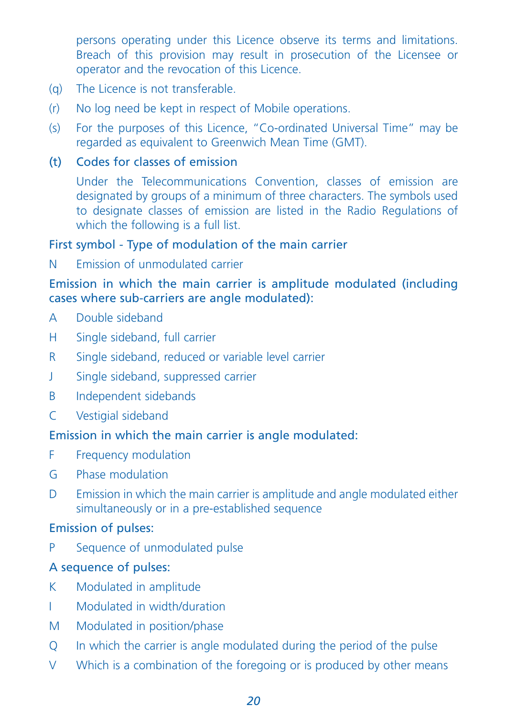persons operating under this Licence observe its terms and limitations. Breach of this provision may result in prosecution of the Licensee or operator and the revocation of this Licence.

- (q) The Licence is not transferable.
- (r) No log need be kept in respect of Mobile operations.
- (s) For the purposes of this Licence, "Co-ordinated Universal Time" may be regarded as equivalent to Greenwich Mean Time (GMT).

# (t) Codes for classes of emission

Under the Telecommunications Convention, classes of emission are designated by groups of a minimum of three characters. The symbols used to designate classes of emission are listed in the Radio Regulations of which the following is a full list.

#### First symbol - Type of modulation of the main carrier

N Emission of unmodulated carrier

# Emission in which the main carrier is amplitude modulated (including cases where sub-carriers are angle modulated):

- A Double sideband
- H Single sideband, full carrier
- R Single sideband, reduced or variable level carrier
- J Single sideband, suppressed carrier
- B Independent sidebands
- C Vestigial sideband

# Emission in which the main carrier is angle modulated:

- F Frequency modulation
- G Phase modulation
- D Emission in which the main carrier is amplitude and angle modulated either simultaneously or in a pre-established sequence

# Emission of pulses:

P Sequence of unmodulated pulse

# A sequence of pulses:

- K Modulated in amplitude
- I Modulated in width/duration
- M Modulated in position/phase
- Q In which the carrier is angle modulated during the period of the pulse
- V Which is a combination of the foregoing or is produced by other means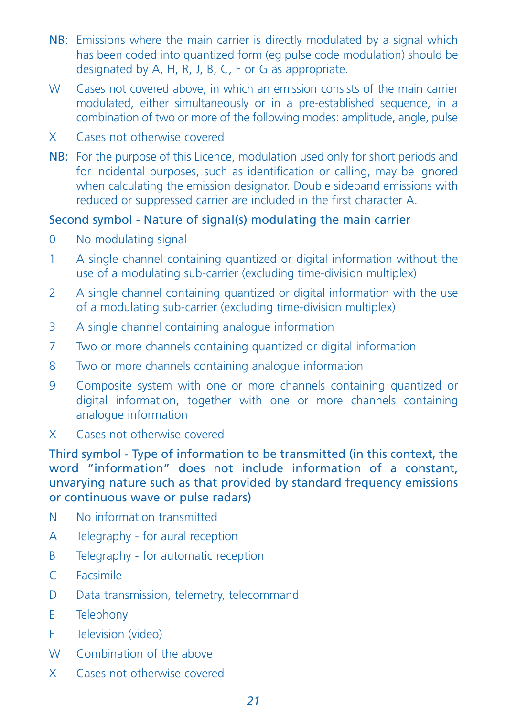- NB: Emissions where the main carrier is directly modulated by a signal which has been coded into quantized form (eg pulse code modulation) should be designated by A, H, R, J, B, C, F or G as appropriate.
- W Cases not covered above, in which an emission consists of the main carrier modulated, either simultaneously or in a pre-established sequence, in a combination of two or more of the following modes: amplitude, angle, pulse
- X Cases not otherwise covered
- NB: For the purpose of this Licence, modulation used only for short periods and for incidental purposes, such as identification or calling, may be ignored when calculating the emission designator. Double sideband emissions with reduced or suppressed carrier are included in the first character A.

# Second symbol - Nature of signal(s) modulating the main carrier

- 0 No modulating signal
- 1 A single channel containing quantized or digital information without the use of a modulating sub-carrier (excluding time-division multiplex)
- 2 A single channel containing quantized or digital information with the use of a modulating sub-carrier (excluding time-division multiplex)
- 3 A single channel containing analogue information
- 7 Two or more channels containing quantized or digital information
- 8 Two or more channels containing analogue information
- 9 Composite system with one or more channels containing quantized or digital information, together with one or more channels containing analogue information
- X Cases not otherwise covered

Third symbol - Type of information to be transmitted (in this context, the word "information" does not include information of a constant, unvarying nature such as that provided by standard frequency emissions or continuous wave or pulse radars)

- N No information transmitted
- A Telegraphy for aural reception
- B Telegraphy for automatic reception
- C Facsimile
- D Data transmission, telemetry, telecommand
- E Telephony
- F Television (video)
- W Combination of the above
- X Cases not otherwise covered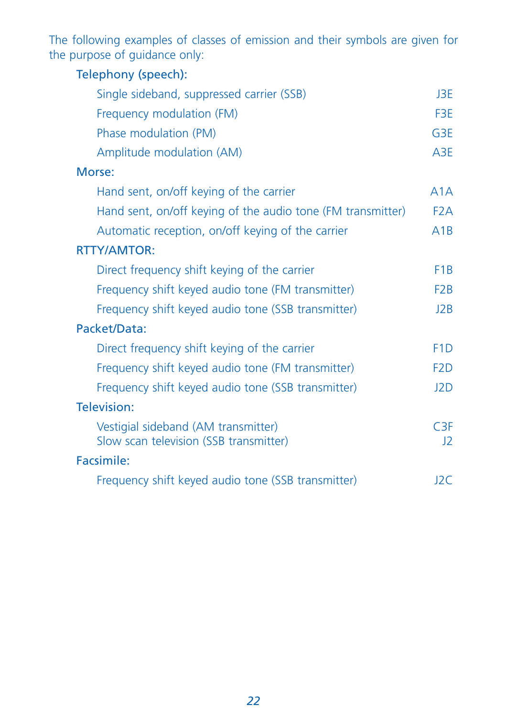The following examples of classes of emission and their symbols are given for the purpose of guidance only:

| Telephony (speech):                                                           |                  |
|-------------------------------------------------------------------------------|------------------|
| Single sideband, suppressed carrier (SSB)                                     | J3E.             |
| Frequency modulation (FM)                                                     | F3E              |
| Phase modulation (PM)                                                         | G <sub>3E</sub>  |
| Amplitude modulation (AM)                                                     | A <sub>3E</sub>  |
| Morse:                                                                        |                  |
| Hand sent, on/off keying of the carrier                                       | A1A              |
| Hand sent, on/off keying of the audio tone (FM transmitter)                   | F <sub>2</sub> A |
| Automatic reception, on/off keying of the carrier                             | A1B              |
| <b>RTTY/AMTOR:</b>                                                            |                  |
| Direct frequency shift keying of the carrier                                  | F <sub>1</sub> B |
| Frequency shift keyed audio tone (FM transmitter)                             | F <sub>2</sub> B |
| Frequency shift keyed audio tone (SSB transmitter)                            | J2B              |
| Packet/Data:                                                                  |                  |
| Direct frequency shift keying of the carrier                                  | F <sub>1</sub> D |
| Frequency shift keyed audio tone (FM transmitter)                             | F <sub>2</sub> D |
| Frequency shift keyed audio tone (SSB transmitter)                            | J2D              |
| Television:                                                                   |                  |
| Vestigial sideband (AM transmitter)<br>Slow scan television (SSB transmitter) | C3F<br>12        |
| Facsimile:                                                                    |                  |
| Frequency shift keyed audio tone (SSB transmitter)                            | J2C              |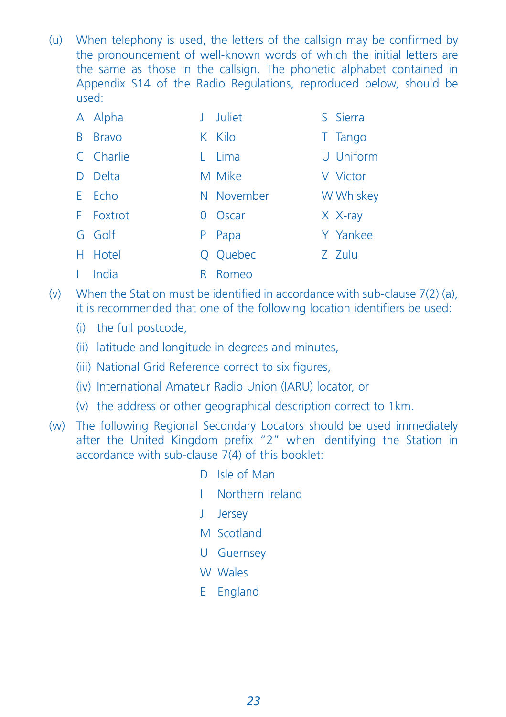(u) When telephony is used, the letters of the callsign may be confirmed by the pronouncement of well-known words of which the initial letters are the same as those in the callsign. The phonetic alphabet contained in Appendix S14 of the Radio Regulations, reproduced below, should be used:

|              | A Alpha      |          | <b>Juliet</b> | S Sierra  |
|--------------|--------------|----------|---------------|-----------|
| <sub>B</sub> | <b>Bravo</b> |          | K Kilo        | T Tango   |
|              | C Charlie    | L        | Lima          | U Uniform |
|              | D Delta      |          | M Mike        | V Victor  |
|              | E Echo       |          | N November    | W Whiskey |
|              | F Foxtrot    | $\Omega$ | Oscar         | $X$ X-ray |
|              | G Golf       | P        | Papa          | Y Yankee  |
|              | H Hotel      |          | Q Quebec      | Z Zulu    |
|              | I India      | R        | Romeo         |           |

- (v) When the Station must be identified in accordance with sub-clause  $7(2)$  (a), it is recommended that one of the following location identifiers be used:
	- (i) the full postcode,
	- (ii) latitude and longitude in degrees and minutes,
	- (iii) National Grid Reference correct to six figures,
	- (iv) International Amateur Radio Union (IARU) locator, or
	- (v) the address or other geographical description correct to 1km.
- (w) The following Regional Secondary Locators should be used immediately after the United Kingdom prefix "2" when identifying the Station in accordance with sub-clause 7(4) of this booklet:
	- D Isle of Man
	- I Northern Ireland
	- J Jersey
	- M Scotland
	- U Guernsey
	- W Wales
	- E England